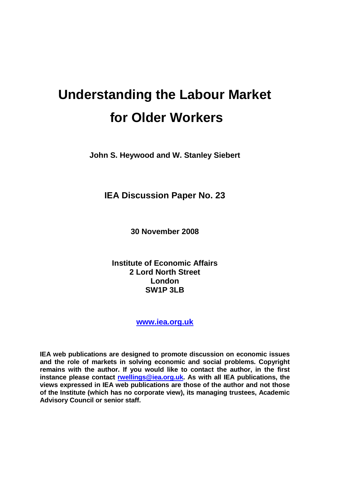# **Understanding the Labour Market for Older Workers**

**John S. Heywood and W. Stanley Siebert** 

**IEA Discussion Paper No. 23** 

**30 November 2008** 

**Institute of Economic Affairs 2 Lord North Street London SW1P 3LB** 

**www.iea.org.uk**

**IEA web publications are designed to promote discussion on economic issues and the role of markets in solving economic and social problems. Copyright remains with the author. If you would like to contact the author, in the first instance please contact rwellings@iea.org.uk. As with all IEA publications, the views expressed in IEA web publications are those of the author and not those of the Institute (which has no corporate view), its managing trustees, Academic Advisory Council or senior staff.**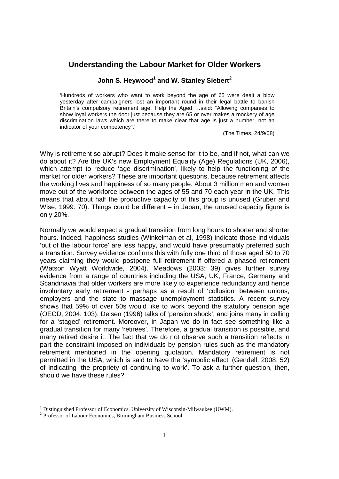# **Understanding the Labour Market for Older Workers**

# **John S. Heywood1 and W. Stanley Siebert<sup>2</sup>**

'Hundreds of workers who want to work beyond the age of 65 were dealt a blow yesterday after campaigners lost an important round in their legal battle to banish Britain's compulsory retirement age. Help the Aged …said: "Allowing companies to show loyal workers the door just because they are 65 or over makes a mockery of age discrimination laws which are there to make clear that age is just a number, not an indicator of your competency".'

(The Times, 24/9/08)

Why is retirement so abrupt? Does it make sense for it to be, and if not, what can we do about it? Are the UK's new Employment Equality (Age) Regulations (UK, 2006), which attempt to reduce 'age discrimination', likely to help the functioning of the market for older workers? These are important questions, because retirement affects the working lives and happiness of so many people. About 3 million men and women move out of the workforce between the ages of 55 and 70 each year in the UK. This means that about half the productive capacity of this group is unused (Gruber and Wise, 1999: 70). Things could be different – in Japan, the unused capacity figure is only 20%.

Normally we would expect a gradual transition from long hours to shorter and shorter hours. Indeed, happiness studies (Winkelman et al, 1998) indicate those individuals 'out of the labour force' are less happy, and would have presumably preferred such a transition. Survey evidence confirms this with fully one third of those aged 50 to 70 years claiming they would postpone full retirement if offered a phased retirement (Watson Wyatt Worldwide, 2004). Meadows (2003: 39) gives further survey evidence from a range of countries including the USA, UK, France, Germany and Scandinavia that older workers are more likely to experience redundancy and hence involuntary early retirement - perhaps as a result of 'collusion' between unions, employers and the state to massage unemployment statistics. A recent survey shows that 59% of over 50s would like to work beyond the statutory pension age (OECD, 2004: 103). Delsen (1996) talks of 'pension shock', and joins many in calling for a 'staged' retirement. Moreover, in Japan we do in fact see something like a gradual transition for many 'retirees'. Therefore, a gradual transition is possible, and many retired desire it. The fact that we do not observe such a transition reflects in part the constraint imposed on individuals by pension rules such as the mandatory retirement mentioned in the opening quotation. Mandatory retirement is not permitted in the USA, which is said to have the 'symbolic effect' (Gendell, 2008: 52) of indicating 'the propriety of continuing to work'. To ask a further question, then, should we have these rules?

<sup>&</sup>lt;sup>1</sup> Distinguished Professor of Economics, University of Wisconsin-Milwaukee (UWM).

<sup>&</sup>lt;sup>2</sup> Professor of Labour Economics, Birmingham Business School.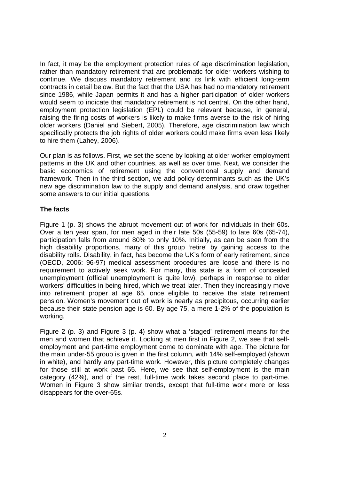In fact, it may be the employment protection rules of age discrimination legislation, rather than mandatory retirement that are problematic for older workers wishing to continue. We discuss mandatory retirement and its link with efficient long-term contracts in detail below. But the fact that the USA has had no mandatory retirement since 1986, while Japan permits it and has a higher participation of older workers would seem to indicate that mandatory retirement is not central. On the other hand, employment protection legislation (EPL) could be relevant because, in general, raising the firing costs of workers is likely to make firms averse to the risk of hiring older workers (Daniel and Siebert, 2005). Therefore, age discrimination law which specifically protects the job rights of older workers could make firms even less likely to hire them (Lahey, 2006).

Our plan is as follows. First, we set the scene by looking at older worker employment patterns in the UK and other countries, as well as over time. Next, we consider the basic economics of retirement using the conventional supply and demand framework. Then in the third section, we add policy determinants such as the UK's new age discrimination law to the supply and demand analysis, and draw together some answers to our initial questions.

## **The facts**

Figure 1 (p. 3) shows the abrupt movement out of work for individuals in their 60s. Over a ten year span, for men aged in their late 50s (55-59) to late 60s (65-74), participation falls from around 80% to only 10%. Initially, as can be seen from the high disability proportions, many of this group 'retire' by gaining access to the disability rolls. Disability, in fact, has become the UK's form of early retirement, since (OECD, 2006: 96-97) medical assessment procedures are loose and there is no requirement to actively seek work. For many, this state is a form of concealed unemployment (official unemployment is quite low), perhaps in response to older workers' difficulties in being hired, which we treat later. Then they increasingly move into retirement proper at age 65, once eligible to receive the state retirement pension. Women's movement out of work is nearly as precipitous, occurring earlier because their state pension age is 60. By age 75, a mere 1-2% of the population is working.

Figure 2 (p. 3) and Figure 3 (p. 4) show what a 'staged' retirement means for the men and women that achieve it. Looking at men first in Figure 2, we see that selfemployment and part-time employment come to dominate with age. The picture for the main under-55 group is given in the first column, with 14% self-employed (shown in white), and hardly any part-time work. However, this picture completely changes for those still at work past 65. Here, we see that self-employment is the main category (42%), and of the rest, full-time work takes second place to part-time. Women in Figure 3 show similar trends, except that full-time work more or less disappears for the over-65s.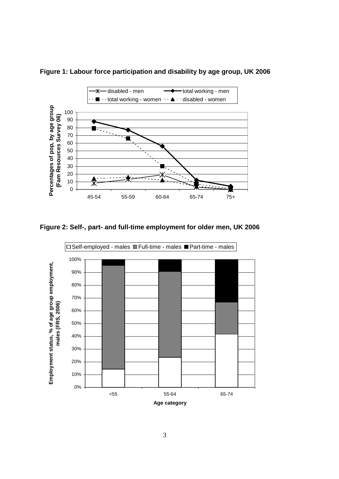

**Figure 1: Labour force participation and disability by age group, UK 2006** 

**Figure 2: Self-, part- and full-time employment for older men, UK 2006** 

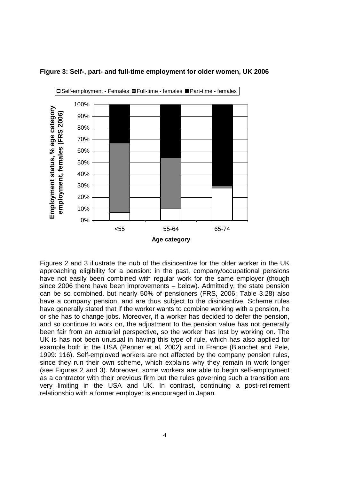



Figures 2 and 3 illustrate the nub of the disincentive for the older worker in the UK approaching eligibility for a pension: in the past, company/occupational pensions have not easily been combined with regular work for the same employer (though since 2006 there have been improvements – below). Admittedly, the state pension can be so combined, but nearly 50% of pensioners (FRS, 2006: Table 3.28) also have a company pension, and are thus subject to the disincentive. Scheme rules have generally stated that if the worker wants to combine working with a pension, he or she has to change jobs. Moreover, if a worker has decided to defer the pension, and so continue to work on, the adjustment to the pension value has not generally been fair from an actuarial perspective, so the worker has lost by working on. The UK is has not been unusual in having this type of rule, which has also applied for example both in the USA (Penner et al, 2002) and in France (Blanchet and Pele, 1999: 116). Self-employed workers are not affected by the company pension rules, since they run their own scheme, which explains why they remain in work longer (see Figures 2 and 3). Moreover, some workers are able to begin self-employment as a contractor with their previous firm but the rules governing such a transition are very limiting in the USA and UK. In contrast, continuing a post-retirement relationship with a former employer is encouraged in Japan.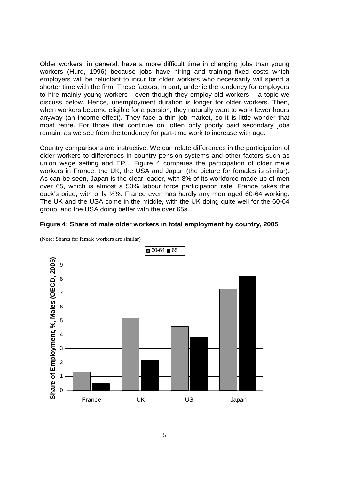Older workers, in general, have a more difficult time in changing jobs than young workers (Hurd, 1996) because jobs have hiring and training fixed costs which employers will be reluctant to incur for older workers who necessarily will spend a shorter time with the firm. These factors, in part, underlie the tendency for employers to hire mainly young workers - even though they employ old workers – a topic we discuss below. Hence, unemployment duration is longer for older workers. Then, when workers become eligible for a pension, they naturally want to work fewer hours anyway (an income effect). They face a thin job market, so it is little wonder that most retire. For those that continue on, often only poorly paid secondary jobs remain, as we see from the tendency for part-time work to increase with age.

Country comparisons are instructive. We can relate differences in the participation of older workers to differences in country pension systems and other factors such as union wage setting and EPL. Figure 4 compares the participation of older male workers in France, the UK, the USA and Japan (the picture for females is similar). As can be seen, Japan is the clear leader, with 8% of its workforce made up of men over 65, which is almost a 50% labour force participation rate. France takes the duck's prize, with only ½%. France even has hardly any men aged 60-64 working. The UK and the USA come in the middle, with the UK doing quite well for the 60-64 group, and the USA doing better with the over 65s.

## **Figure 4: Share of male older workers in total employment by country, 2005**



(Note: Shares for female workers are similar)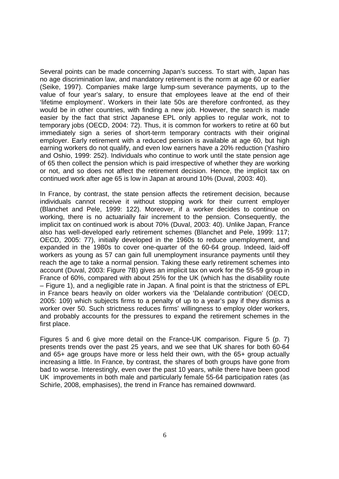Several points can be made concerning Japan's success. To start with, Japan has no age discrimination law, and mandatory retirement is the norm at age 60 or earlier (Seike, 1997). Companies make large lump-sum severance payments, up to the value of four year's salary, to ensure that employees leave at the end of their 'lifetime employment'. Workers in their late 50s are therefore confronted, as they would be in other countries, with finding a new job. However, the search is made easier by the fact that strict Japanese EPL only applies to regular work, not to temporary jobs (OECD, 2004: 72). Thus, it is common for workers to retire at 60 but immediately sign a series of short-term temporary contracts with their original employer. Early retirement with a reduced pension is available at age 60, but high earning workers do not qualify, and even low earners have a 20% reduction (Yashiro and Oshio, 1999: 252). Individuals who continue to work until the state pension age of 65 then collect the pension which is paid irrespective of whether they are working or not, and so does not affect the retirement decision. Hence, the implicit tax on continued work after age 65 is low in Japan at around 10% (Duval, 2003: 40).

In France, by contrast, the state pension affects the retirement decision, because individuals cannot receive it without stopping work for their current employer (Blanchet and Pele, 1999: 122). Moreover, if a worker decides to continue on working, there is no actuarially fair increment to the pension. Consequently, the implicit tax on continued work is about 70% (Duval, 2003: 40). Unlike Japan, France also has well-developed early retirement schemes (Blanchet and Pele, 1999: 117; OECD, 2005: 77), initially developed in the 1960s to reduce unemployment, and expanded in the 1980s to cover one-quarter of the 60-64 group. Indeed, laid-off workers as young as 57 can gain full unemployment insurance payments until they reach the age to take a normal pension. Taking these early retirement schemes into account (Duval, 2003: Figure 7B) gives an implicit tax on work for the 55-59 group in France of 60%, compared with about 25% for the UK (which has the disability route – Figure 1), and a negligible rate in Japan. A final point is that the strictness of EPL in France bears heavily on older workers via the 'Delalande contribution' (OECD, 2005: 109) which subjects firms to a penalty of up to a year's pay if they dismiss a worker over 50. Such strictness reduces firms' willingness to employ older workers, and probably accounts for the pressures to expand the retirement schemes in the first place.

Figures 5 and 6 give more detail on the France-UK comparison. Figure 5 (p. 7) presents trends over the past 25 years, and we see that UK shares for both 60-64 and 65+ age groups have more or less held their own, with the 65+ group actually increasing a little. In France, by contrast, the shares of both groups have gone from bad to worse. Interestingly, even over the past 10 years, while there have been good UK improvements in both male and particularly female 55-64 participation rates (as Schirle, 2008, emphasises), the trend in France has remained downward.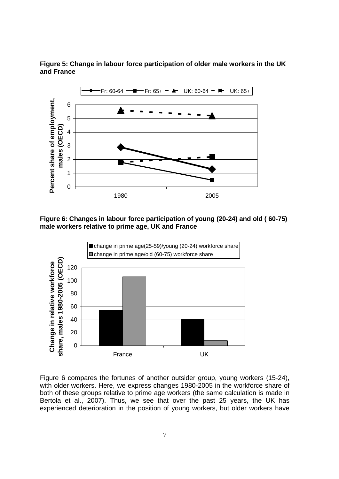

**Figure 5: Change in labour force participation of older male workers in the UK and France** 

**Figure 6: Changes in labour force participation of young (20-24) and old ( 60-75) male workers relative to prime age, UK and France** 



Figure 6 compares the fortunes of another outsider group, young workers (15-24), with older workers. Here, we express changes 1980-2005 in the workforce share of both of these groups relative to prime age workers (the same calculation is made in Bertola et al., 2007). Thus, we see that over the past 25 years, the UK has experienced deterioration in the position of young workers, but older workers have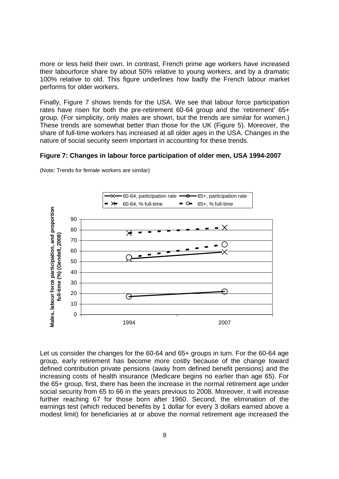more or less held their own. In contrast, French prime age workers have increased their labourforce share by about 50% relative to young workers, and by a dramatic 100% relative to old. This figure underlines how badly the French labour market performs for older workers.

Finally, Figure 7 shows trends for the USA. We see that labour force participation rates have risen for both the pre-retirement 60-64 group and the 'retirement' 65+ group. (For simplicity, only males are shown, but the trends are similar for women.) These trends are somewhat better than those for the UK (Figure 5). Moreover, the share of full-time workers has increased at all older ages in the USA. Changes in the nature of social security seem important in accounting for these trends.

#### **Figure 7: Changes in labour force participation of older men, USA 1994-2007**



(Note: Trends for female workers are similar)

Let us consider the changes for the 60-64 and 65+ groups in turn. For the 60-64 age group, early retirement has become more costly because of the change toward defined contribution private pensions (away from defined benefit pensions) and the increasing costs of health insurance (Medicare begins no earlier than age 65). For the 65+ group, first, there has been the increase in the normal retirement age under social security from 65 to 66 in the years previous to 2008. Moreover, it will increase further reaching 67 for those born after 1960. Second, the elimination of the earnings test (which reduced benefits by 1 dollar for every 3 dollars earned above a modest limit) for beneficiaries at or above the normal retirement age increased the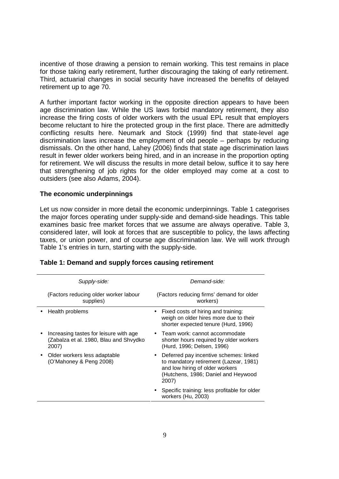incentive of those drawing a pension to remain working. This test remains in place for those taking early retirement, further discouraging the taking of early retirement. Third, actuarial changes in social security have increased the benefits of delayed retirement up to age 70.

A further important factor working in the opposite direction appears to have been age discrimination law. While the US laws forbid mandatory retirement, they also increase the firing costs of older workers with the usual EPL result that employers become reluctant to hire the protected group in the first place. There are admittedly conflicting results here. Neumark and Stock (1999) find that state-level age discrimination laws increase the employment of old people – perhaps by reducing dismissals. On the other hand, Lahey (2006) finds that state age discrimination laws result in fewer older workers being hired, and in an increase in the proportion opting for retirement. We will discuss the results in more detail below, suffice it to say here that strengthening of job rights for the older employed may come at a cost to outsiders (see also Adams, 2004).

#### **The economic underpinnings**

Let us now consider in more detail the economic underpinnings. Table 1 categorises the major forces operating under supply-side and demand-side headings. This table examines basic free market forces that we assume are always operative. Table 3, considered later, will look at forces that are susceptible to policy, the laws affecting taxes, or union power, and of course age discrimination law. We will work through Table 1's entries in turn, starting with the supply-side.

| Supply-side:                                                                              | Demand-side:                                                                                                                                                                     |
|-------------------------------------------------------------------------------------------|----------------------------------------------------------------------------------------------------------------------------------------------------------------------------------|
| (Factors reducing older worker labour<br>supplies)                                        | (Factors reducing firms' demand for older<br>workers)                                                                                                                            |
| Health problems                                                                           | Fixed costs of hiring and training:<br>$\bullet$<br>weigh on older hires more due to their<br>shorter expected tenure (Hurd, 1996)                                               |
| Increasing tastes for leisure with age<br>(Zabalza et al. 1980, Blau and Shvydko<br>2007) | • Team work: cannot accommodate<br>shorter hours required by older workers<br>(Hurd, 1996; Delsen, 1996)                                                                         |
| Older workers less adaptable<br>(O'Mahoney & Peng 2008)                                   | Deferred pay incentive schemes: linked<br>$\bullet$<br>to mandatory retirement (Lazear, 1981)<br>and low hiring of older workers<br>(Hutchens, 1986; Daniel and Heywood<br>2007) |
|                                                                                           | Specific training: less profitable for older<br>workers (Hu, 2003)                                                                                                               |

#### **Table 1: Demand and supply forces causing retirement**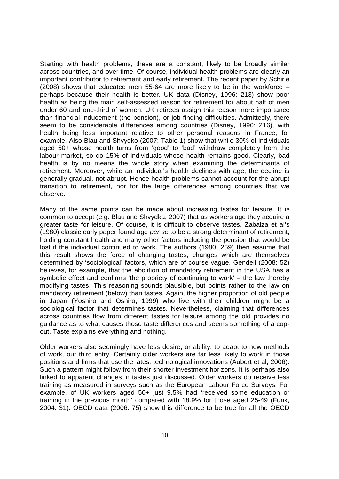Starting with health problems, these are a constant, likely to be broadly similar across countries, and over time. Of course, individual health problems are clearly an important contributor to retirement and early retirement. The recent paper by Schirle (2008) shows that educated men 55-64 are more likely to be in the workforce  $$ perhaps because their health is better. UK data (Disney, 1996: 213) show poor health as being the main self-assessed reason for retirement for about half of men under 60 and one-third of women. UK retirees assign this reason more importance than financial inducement (the pension), or job finding difficulties. Admittedly, there seem to be considerable differences among countries (Disney, 1996: 216), with health being less important relative to other personal reasons in France, for example. Also Blau and Shvydko (2007: Table 1) show that while 30% of individuals aged 50+ whose health turns from 'good' to 'bad' withdraw completely from the labour market, so do 15% of individuals whose health remains good. Clearly, bad health is by no means the whole story when examining the determinants of retirement. Moreover, while an individual's health declines with age, the decline is generally gradual, not abrupt. Hence health problems cannot account for the abrupt transition to retirement, nor for the large differences among countries that we observe.

Many of the same points can be made about increasing tastes for leisure. It is common to accept (e.g. Blau and Shvydka, 2007) that as workers age they acquire a greater taste for leisure. Of course, it is difficult to observe tastes. Zabalza et al's (1980) classic early paper found age *per se* to be a strong determinant of retirement, holding constant health and many other factors including the pension that would be lost if the individual continued to work. The authors (1980: 259) then assume that this result shows the force of changing tastes, changes which are themselves determined by 'sociological' factors, which are of course vague. Gendell (2008: 52) believes, for example, that the abolition of mandatory retirement in the USA has a symbolic effect and confirms 'the propriety of continuing to work' – the law thereby modifying tastes. This reasoning sounds plausible, but points rather to the law on mandatory retirement (below) than tastes. Again, the higher proportion of old people in Japan (Yoshiro and Oshiro, 1999) who live with their children might be a sociological factor that determines tastes. Nevertheless, claiming that differences across countries flow from different tastes for leisure among the old provides no guidance as to what causes those taste differences and seems something of a copout. Taste explains everything and nothing.

Older workers also seemingly have less desire, or ability, to adapt to new methods of work, our third entry. Certainly older workers are far less likely to work in those positions and firms that use the latest technological innovations (Aubert et al, 2006). Such a pattern might follow from their shorter investment horizons. It is perhaps also linked to apparent changes in tastes just discussed. Older workers do receive less training as measured in surveys such as the European Labour Force Surveys. For example, of UK workers aged 50+ just 9.5% had 'received some education or training in the previous month' compared with 18.9% for those aged 25-49 (Funk, 2004: 31). OECD data (2006: 75) show this difference to be true for all the OECD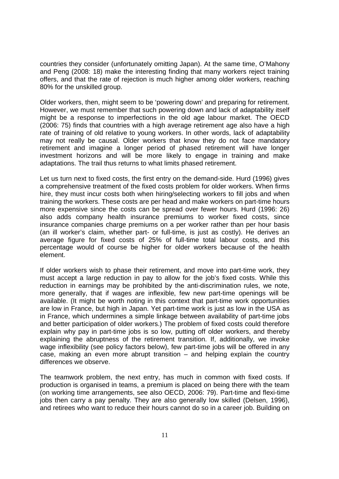countries they consider (unfortunately omitting Japan). At the same time, O'Mahony and Peng (2008: 18) make the interesting finding that many workers reject training offers, and that the rate of rejection is much higher among older workers, reaching 80% for the unskilled group.

Older workers, then, might seem to be 'powering down' and preparing for retirement. However, we must remember that such powering down and lack of adaptability itself might be a response to imperfections in the old age labour market. The OECD (2006: 75) finds that countries with a high average retirement age also have a high rate of training of old relative to young workers. In other words, lack of adaptability may not really be causal. Older workers that know they do not face mandatory retirement and imagine a longer period of phased retirement will have longer investment horizons and will be more likely to engage in training and make adaptations. The trail thus returns to what limits phased retirement.

Let us turn next to fixed costs, the first entry on the demand-side. Hurd (1996) gives a comprehensive treatment of the fixed costs problem for older workers. When firms hire, they must incur costs both when hiring/selecting workers to fill jobs and when training the workers. These costs are per head and make workers on part-time hours more expensive since the costs can be spread over fewer hours. Hurd (1996: 26) also adds company health insurance premiums to worker fixed costs, since insurance companies charge premiums on a per worker rather than per hour basis (an ill worker's claim, whether part- or full-time, is just as costly). He derives an average figure for fixed costs of 25% of full-time total labour costs, and this percentage would of course be higher for older workers because of the health element.

If older workers wish to phase their retirement, and move into part-time work, they must accept a large reduction in pay to allow for the job's fixed costs. While this reduction in earnings may be prohibited by the anti-discrimination rules, we note, more generally, that if wages are inflexible, few new part-time openings will be available. (It might be worth noting in this context that part-time work opportunities are low in France, but high in Japan. Yet part-time work is just as low in the USA as in France, which undermines a simple linkage between availability of part-time jobs and better participation of older workers.) The problem of fixed costs could therefore explain why pay in part-time jobs is so low, putting off older workers, and thereby explaining the abruptness of the retirement transition. If, additionally, we invoke wage inflexibility (see policy factors below), few part-time jobs will be offered in any case, making an even more abrupt transition – and helping explain the country differences we observe.

The teamwork problem, the next entry, has much in common with fixed costs. If production is organised in teams, a premium is placed on being there with the team (on working time arrangements, see also OECD, 2006: 79). Part-time and flexi-time jobs then carry a pay penalty. They are also generally low skilled (Delsen, 1996), and retirees who want to reduce their hours cannot do so in a career job. Building on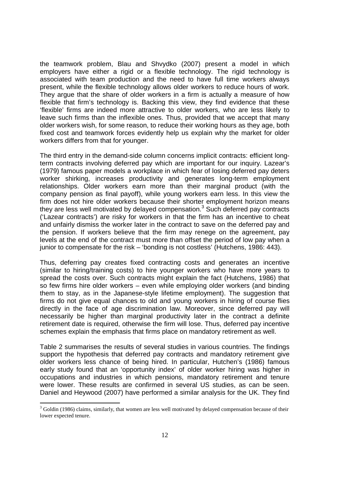the teamwork problem, Blau and Shvydko (2007) present a model in which employers have either a rigid or a flexible technology. The rigid technology is associated with team production and the need to have full time workers always present, while the flexible technology allows older workers to reduce hours of work. They argue that the share of older workers in a firm is actually a measure of how flexible that firm's technology is. Backing this view, they find evidence that these 'flexible' firms are indeed more attractive to older workers, who are less likely to leave such firms than the inflexible ones. Thus, provided that we accept that many older workers wish, for some reason, to reduce their working hours as they age, both fixed cost and teamwork forces evidently help us explain why the market for older workers differs from that for younger.

The third entry in the demand-side column concerns implicit contracts: efficient longterm contracts involving deferred pay which are important for our inquiry. Lazear's (1979) famous paper models a workplace in which fear of losing deferred pay deters worker shirking, increases productivity and generates long-term employment relationships. Older workers earn more than their marginal product (with the company pension as final payoff), while young workers earn less. In this view the firm does not hire older workers because their shorter employment horizon means they are less well motivated by delayed compensation. $3$  Such deferred pay contracts ('Lazear contracts') are risky for workers in that the firm has an incentive to cheat and unfairly dismiss the worker later in the contract to save on the deferred pay and the pension. If workers believe that the firm may renege on the agreement, pay levels at the end of the contract must more than offset the period of low pay when a junior to compensate for the risk – 'bonding is not costless' (Hutchens, 1986: 443).

Thus, deferring pay creates fixed contracting costs and generates an incentive (similar to hiring/training costs) to hire younger workers who have more years to spread the costs over. Such contracts might explain the fact (Hutchens, 1986) that so few firms hire older workers – even while employing older workers (and binding them to stay, as in the Japanese-style lifetime employment). The suggestion that firms do not give equal chances to old and young workers in hiring of course flies directly in the face of age discrimination law. Moreover, since deferred pay will necessarily be higher than marginal productivity later in the contract a definite retirement date is required, otherwise the firm will lose. Thus, deferred pay incentive schemes explain the emphasis that firms place on mandatory retirement as well.

Table 2 summarises the results of several studies in various countries. The findings support the hypothesis that deferred pay contracts and mandatory retirement give older workers less chance of being hired. In particular, Hutchen's (1986) famous early study found that an 'opportunity index' of older worker hiring was higher in occupations and industries in which pensions, mandatory retirement and tenure were lower. These results are confirmed in several US studies, as can be seen. Daniel and Heywood (2007) have performed a similar analysis for the UK. They find

 $3$  Goldin (1986) claims, similarly, that women are less well motivated by delayed compensation because of their lower expected tenure.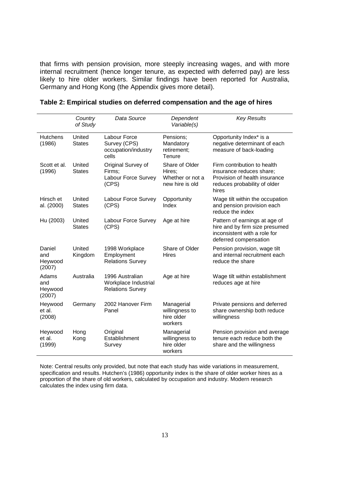that firms with pension provision, more steeply increasing wages, and with more internal recruitment (hence longer tenure, as expected with deferred pay) are less likely to hire older workers. Similar findings have been reported for Australia, Germany and Hong Kong (the Appendix gives more detail).

|                                    | Country<br>of Study     | Data Source                                                        | Dependent<br>Variable(s)                                        | <b>Key Results</b>                                                                                                                |
|------------------------------------|-------------------------|--------------------------------------------------------------------|-----------------------------------------------------------------|-----------------------------------------------------------------------------------------------------------------------------------|
| <b>Hutchens</b><br>(1986)          | United<br><b>States</b> | Labour Force<br>Survey (CPS)<br>occupation/industry<br>cells       | Pensions;<br>Mandatory<br>retirement;<br>Tenure                 | Opportunity Index* is a<br>negative determinant of each<br>measure of back-loading                                                |
| Scott et al.<br>(1996)             | United<br><b>States</b> | Original Survey of<br>Firms:<br>Labour Force Survey<br>(CPS)       | Share of Older<br>Hires;<br>Whether or not a<br>new hire is old | Firm contribution to health<br>insurance reduces share;<br>Provision of health insurance<br>reduces probability of older<br>hires |
| Hirsch et<br>al. (2000)            | United<br><b>States</b> | Labour Force Survey<br>(CPS)                                       | Opportunity<br>Index                                            | Wage tilt within the occupation<br>and pension provision each<br>reduce the index                                                 |
| Hu (2003)                          | United<br><b>States</b> | Labour Force Survey<br>(CPS)                                       | Age at hire                                                     | Pattern of earnings at age of<br>hire and by firm size presumed<br>inconsistent with a role for<br>deferred compensation          |
| Daniel<br>and<br>Heywood<br>(2007) | United<br>Kingdom       | 1998 Workplace<br>Employment<br><b>Relations Survey</b>            | Share of Older<br><b>Hires</b>                                  | Pension provision, wage tilt<br>and internal recruitment each<br>reduce the share                                                 |
| Adams<br>and<br>Heywood<br>(2007)  | Australia               | 1996 Australian<br>Workplace Industrial<br><b>Relations Survey</b> | Age at hire                                                     | Wage tilt within establishment<br>reduces age at hire                                                                             |
| Heywood<br>et al.<br>(2008)        | Germany                 | 2002 Hanover Firm<br>Panel                                         | Managerial<br>willingness to<br>hire older<br>workers           | Private pensions and deferred<br>share ownership both reduce<br>willingness                                                       |
| Heywood<br>et al.<br>(1999)        | Hong<br>Kong            | Original<br>Establishment<br>Survey                                | Managerial<br>willingness to<br>hire older<br>workers           | Pension provision and average<br>tenure each reduce both the<br>share and the willingness                                         |

|  |  |  |  |  | Table 2: Empirical studies on deferred compensation and the age of hires |
|--|--|--|--|--|--------------------------------------------------------------------------|
|--|--|--|--|--|--------------------------------------------------------------------------|

Note: Central results only provided, but note that each study has wide variations in measurement, specification and results. Hutchen's (1986) opportunity index is the share of older worker hires as a proportion of the share of old workers, calculated by occupation and industry. Modern research calculates the index using firm data.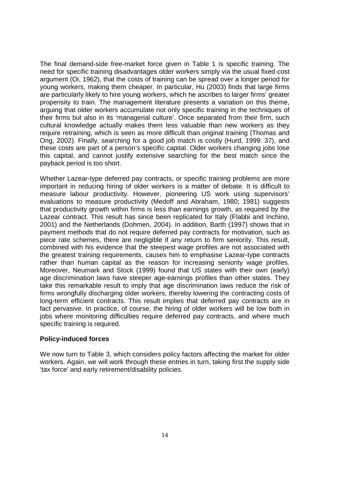The final demand-side free-market force given in Table 1 is specific training. The need for specific training disadvantages older workers simply via the usual fixed-cost argument (Oi, 1962), that the costs of training can be spread over a longer period for young workers, making them cheaper. In particular, Hu (2003) finds that large firms are particularly likely to hire young workers, which he ascribes to larger firms' greater propensity to train. The management literature presents a variation on this theme, arguing that older workers accumulate not only specific training in the techniques of their firms but also in its 'managerial culture'. Once separated from their firm, such cultural knowledge actually makes them less valuable than new workers as they require retraining, which is seen as more difficult than original training (Thomas and Ong, 2002). Finally, searching for a good job match is costly (Hurd, 1999: 37), and these costs are part of a person's specific capital. Older workers changing jobs lose this capital, and cannot justify extensive searching for the best match since the payback period is too short.

Whether Lazear-type deferred pay contracts, or specific training problems are more important in reducing hiring of older workers is a matter of debate. It is difficult to measure labour productivity. However, pioneering US work using supervisors' evaluations to measure productivity (Medoff and Abraham, 1980; 1981) suggests that productivity growth within firms is less than earnings growth, as required by the Lazear contract. This result has since been replicated for Italy (Flabbi and Inchino, 2001) and the Netherlands (Dohmen, 2004). In addition, Barth (1997) shows that in payment methods that do not require deferred pay contracts for motivation, such as piece rate schemes, there are negligible if any return to firm seniority. This result, combined with his evidence that the steepest wage profiles are not associated with the greatest training requirements, causes him to emphasise Lazear-type contracts rather than human capital as the reason for increasing seniority wage profiles. Moreover, Neumark and Stock (1999) found that US states with their own (early) age discrimination laws have steeper age-earnings profiles than other states. They take this remarkable result to imply that age discrimination laws reduce the risk of firms wrongfully discharging older workers, thereby lowering the contracting costs of long-term efficient contracts. This result implies that deferred pay contracts are in fact pervasive. In practice, of course, the hiring of older workers will be low both in jobs where monitoring difficulties require deferred pay contracts, and where much specific training is required.

## **Policy-induced forces**

We now turn to Table 3, which considers policy factors affecting the market for older workers. Again, we will work through these entries in turn, taking first the supply side 'tax force' and early retirement/disability policies.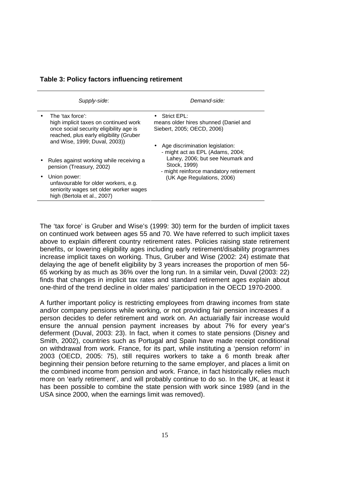| Supply-side:                                                                                                                                                                     | Demand-side:                                                                                                                                                |
|----------------------------------------------------------------------------------------------------------------------------------------------------------------------------------|-------------------------------------------------------------------------------------------------------------------------------------------------------------|
| The 'tax force':<br>high implicit taxes on continued work<br>once social security eligibility age is<br>reached, plus early eligibility (Gruber<br>and Wise, 1999; Duval, 2003)) | Strict EPL:<br>means older hires shunned (Daniel and<br>Siebert, 2005; OECD, 2006)<br>• Age discrimination legislation:<br>- might act as EPL (Adams, 2004; |
| Rules against working while receiving a<br>pension (Treasury, 2002)                                                                                                              | Lahey, 2006; but see Neumark and<br>Stock, 1999)<br>- might reinforce mandatory retirement                                                                  |
| Union power:<br>unfavourable for older workers, e.g.<br>seniority wages set older worker wages<br>high (Bertola et al., 2007)                                                    | (UK Age Regulations, 2006)                                                                                                                                  |

## **Table 3: Policy factors influencing retirement**

The 'tax force' is Gruber and Wise's (1999: 30) term for the burden of implicit taxes on continued work between ages 55 and 70. We have referred to such implicit taxes above to explain different country retirement rates. Policies raising state retirement benefits, or lowering eligibility ages including early retirement/disability programmes increase implicit taxes on working. Thus, Gruber and Wise (2002: 24) estimate that delaying the age of benefit eligibility by 3 years increases the proportion of men 56- 65 working by as much as 36% over the long run. In a similar vein, Duval (2003: 22) finds that changes in implicit tax rates and standard retirement ages explain about one-third of the trend decline in older males' participation in the OECD 1970-2000.

A further important policy is restricting employees from drawing incomes from state and/or company pensions while working, or not providing fair pension increases if a person decides to defer retirement and work on. An actuarially fair increase would ensure the annual pension payment increases by about 7% for every year's deferment (Duval, 2003: 23). In fact, when it comes to state pensions (Disney and Smith, 2002), countries such as Portugal and Spain have made receipt conditional on withdrawal from work. France, for its part, while instituting a 'pension reform' in 2003 (OECD, 2005: 75), still requires workers to take a 6 month break after beginning their pension before returning to the same employer, and places a limit on the combined income from pension and work. France, in fact historically relies much more on 'early retirement', and will probably continue to do so. In the UK, at least it has been possible to combine the state pension with work since 1989 (and in the USA since 2000, when the earnings limit was removed).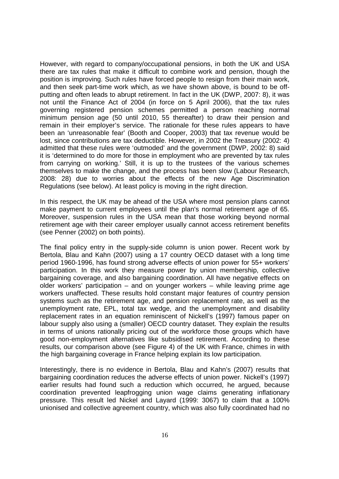However, with regard to company/occupational pensions, in both the UK and USA there are tax rules that make it difficult to combine work and pension, though the position is improving. Such rules have forced people to resign from their main work, and then seek part-time work which, as we have shown above, is bound to be offputting and often leads to abrupt retirement. In fact in the UK (DWP, 2007: 8), it was not until the Finance Act of 2004 (in force on 5 April 2006), that the tax rules governing registered pension schemes permitted a person reaching normal minimum pension age (50 until 2010, 55 thereafter) to draw their pension and remain in their employer's service. The rationale for these rules appears to have been an 'unreasonable fear' (Booth and Cooper, 2003) that tax revenue would be lost, since contributions are tax deductible. However, in 2002 the Treasury (2002: 4) admitted that these rules were 'outmoded' and the government (DWP, 2002: 8) said it is 'determined to do more for those in employment who are prevented by tax rules from carrying on working.' Still, it is up to the trustees of the various schemes themselves to make the change, and the process has been slow (Labour Research, 2008: 28) due to worries about the effects of the new Age Discrimination Regulations (see below). At least policy is moving in the right direction.

In this respect, the UK may be ahead of the USA where most pension plans cannot make payment to current employees until the plan's normal retirement age of 65. Moreover, suspension rules in the USA mean that those working beyond normal retirement age with their career employer usually cannot access retirement benefits (see Penner (2002) on both points).

The final policy entry in the supply-side column is union power. Recent work by Bertola, Blau and Kahn (2007) using a 17 country OECD dataset with a long time period 1960-1996, has found strong adverse effects of union power for 55+ workers' participation. In this work they measure power by union membership, collective bargaining coverage, and also bargaining coordination. All have negative effects on older workers' participation – and on younger workers – while leaving prime age workers unaffected. These results hold constant major features of country pension systems such as the retirement age, and pension replacement rate, as well as the unemployment rate, EPL, total tax wedge, and the unemployment and disability replacement rates in an equation reminiscent of Nickell's (1997) famous paper on labour supply also using a (smaller) OECD country dataset. They explain the results in terms of unions rationally pricing out of the workforce those groups which have good non-employment alternatives like subsidised retirement. According to these results, our comparison above (see Figure 4) of the UK with France, chimes in with the high bargaining coverage in France helping explain its low participation.

Interestingly, there is no evidence in Bertola, Blau and Kahn's (2007) results that bargaining coordination reduces the adverse effects of union power. Nickell's (1997) earlier results had found such a reduction which occurred, he argued, because coordination prevented leapfrogging union wage claims generating inflationary pressure. This result led Nickel and Layard (1999: 3067) to claim that a 100% unionised and collective agreement country, which was also fully coordinated had no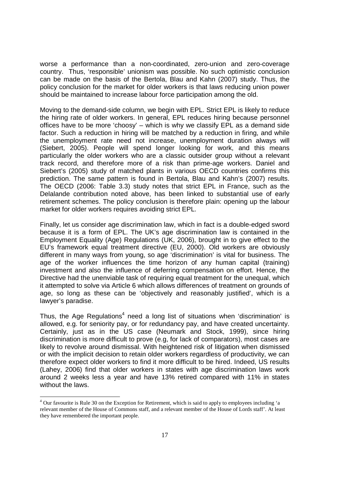worse a performance than a non-coordinated, zero-union and zero-coverage country. Thus, 'responsible' unionism was possible. No such optimistic conclusion can be made on the basis of the Bertola, Blau and Kahn (2007) study. Thus, the policy conclusion for the market for older workers is that laws reducing union power should be maintained to increase labour force participation among the old.

Moving to the demand-side column, we begin with EPL. Strict EPL is likely to reduce the hiring rate of older workers. In general, EPL reduces hiring because personnel offices have to be more 'choosy' – which is why we classify EPL as a demand side factor. Such a reduction in hiring will be matched by a reduction in firing, and while the unemployment rate need not increase, unemployment duration always will (Siebert, 2005). People will spend longer looking for work, and this means particularly the older workers who are a classic outsider group without a relevant track record, and therefore more of a risk than prime-age workers. Daniel and Siebert's (2005) study of matched plants in various OECD countries confirms this prediction. The same pattern is found in Bertola, Blau and Kahn's (2007) results. The OECD (2006: Table 3.3) study notes that strict EPL in France, such as the Delalande contribution noted above, has been linked to substantial use of early retirement schemes. The policy conclusion is therefore plain: opening up the labour market for older workers requires avoiding strict EPL.

Finally, let us consider age discrimination law, which in fact is a double-edged sword because it is a form of EPL. The UK's age discrimination law is contained in the Employment Equality (Age) Regulations (UK, 2006), brought in to give effect to the EU's framework equal treatment directive (EU, 2000). Old workers are obviously different in many ways from young, so age 'discrimination' is vital for business. The age of the worker influences the time horizon of any human capital (training) investment and also the influence of deferring compensation on effort. Hence, the Directive had the unenviable task of requiring equal treatment for the unequal, which it attempted to solve via Article 6 which allows differences of treatment on grounds of age, so long as these can be 'objectively and reasonably justified', which is a lawyer's paradise.

Thus, the Age Regulations<sup>4</sup> need a long list of situations when 'discrimination' is allowed, e.g. for seniority pay, or for redundancy pay, and have created uncertainty. Certainly, just as in the US case (Neumark and Stock, 1999), since hiring discrimination is more difficult to prove (e.g, for lack of comparators), most cases are likely to revolve around dismissal. With heightened risk of litigation when dismissed or with the implicit decision to retain older workers regardless of productivity, we can therefore expect older workers to find it more difficult to be hired. Indeed, US results (Lahey, 2006) find that older workers in states with age discrimination laws work around 2 weeks less a year and have 13% retired compared with 11% in states without the laws.

<sup>&</sup>lt;sup>4</sup> Our favourite is Rule 30 on the Exception for Retirement, which is said to apply to employees including 'a relevant member of the House of Commons staff, and a relevant member of the House of Lords staff'. At least they have remembered the important people.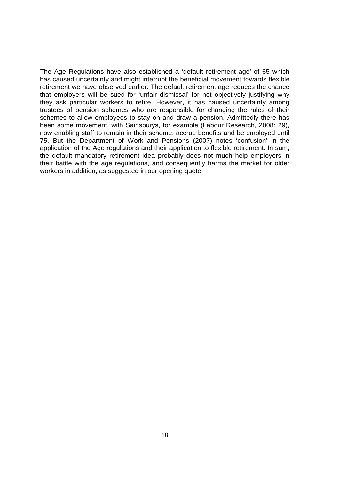The Age Regulations have also established a 'default retirement age' of 65 which has caused uncertainty and might interrupt the beneficial movement towards flexible retirement we have observed earlier. The default retirement age reduces the chance that employers will be sued for 'unfair dismissal' for not objectively justifying why they ask particular workers to retire. However, it has caused uncertainty among trustees of pension schemes who are responsible for changing the rules of their schemes to allow employees to stay on and draw a pension. Admittedly there has been some movement, with Sainsburys, for example (Labour Research, 2008: 29), now enabling staff to remain in their scheme, accrue benefits and be employed until 75. But the Department of Work and Pensions (2007) notes 'confusion' in the application of the Age regulations and their application to flexible retirement. In sum, the default mandatory retirement idea probably does not much help employers in their battle with the age regulations, and consequently harms the market for older workers in addition, as suggested in our opening quote.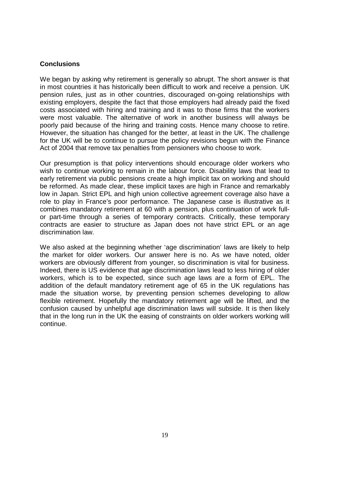## **Conclusions**

We began by asking why retirement is generally so abrupt. The short answer is that in most countries it has historically been difficult to work and receive a pension. UK pension rules, just as in other countries, discouraged on-going relationships with existing employers, despite the fact that those employers had already paid the fixed costs associated with hiring and training and it was to those firms that the workers were most valuable. The alternative of work in another business will always be poorly paid because of the hiring and training costs. Hence many choose to retire. However, the situation has changed for the better, at least in the UK. The challenge for the UK will be to continue to pursue the policy revisions begun with the Finance Act of 2004 that remove tax penalties from pensioners who choose to work.

Our presumption is that policy interventions should encourage older workers who wish to continue working to remain in the labour force. Disability laws that lead to early retirement via public pensions create a high implicit tax on working and should be reformed. As made clear, these implicit taxes are high in France and remarkably low in Japan. Strict EPL and high union collective agreement coverage also have a role to play in France's poor performance. The Japanese case is illustrative as it combines mandatory retirement at 60 with a pension, plus continuation of work fullor part-time through a series of temporary contracts. Critically, these temporary contracts are easier to structure as Japan does not have strict EPL or an age discrimination law.

We also asked at the beginning whether 'age discrimination' laws are likely to help the market for older workers. Our answer here is no. As we have noted, older workers are obviously different from younger, so discrimination is vital for business. Indeed, there is US evidence that age discrimination laws lead to less hiring of older workers, which is to be expected, since such age laws are a form of EPL. The addition of the default mandatory retirement age of 65 in the UK regulations has made the situation worse, by preventing pension schemes developing to allow flexible retirement. Hopefully the mandatory retirement age will be lifted, and the confusion caused by unhelpful age discrimination laws will subside. It is then likely that in the long run in the UK the easing of constraints on older workers working will continue.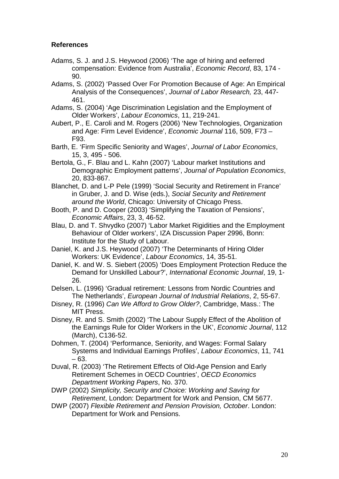# **References**

- Adams, S. J. and J.S. Heywood (2006) 'The age of hiring and eeferred compensation: Evidence from Australia', *Economic Record*, 83, 174 - 90.
- Adams, S. (2002) 'Passed Over For Promotion Because of Age: An Empirical Analysis of the Consequences', *Journal of Labor Research,* 23, 447- 461.
- Adams, S. (2004) 'Age Discrimination Legislation and the Employment of Older Workers', *Labour Economics*, 11, 219-241.
- Aubert, P., E. Caroli and M. Rogers (2006) 'New Technologies, Organization and Age: Firm Level Evidence', *Economic Journal* 116, 509, F73 – F93.
- Barth, E. 'Firm Specific Seniority and Wages', *Journal of Labor Economics*, 15, 3, 495 - 506.
- Bertola, G., F. Blau and L. Kahn (2007) 'Labour market Institutions and Demographic Employment patterns', *Journal of Population Economics*, 20, 833-867.
- Blanchet, D. and L-P Pele (1999) 'Social Security and Retirement in France' in Gruber, J. and D. Wise (eds.), *Social Security and Retirement around the World*, Chicago: University of Chicago Press.
- Booth, P. and D. Cooper (2003) 'Simplifying the Taxation of Pensions', *Economic Affairs*, 23, 3, 46-52.
- Blau, D. and T. Shvydko (2007) 'Labor Market Rigidities and the Employment Behaviour of Older workers', IZA Discussion Paper 2996, Bonn: Institute for the Study of Labour.
- Daniel, K. and J.S. Heywood (2007) 'The Determinants of Hiring Older Workers: UK Evidence', *Labour Economics*, 14, 35-51.
- Daniel, K. and W. S. Siebert (2005) 'Does Employment Protection Reduce the Demand for Unskilled Labour?', *International Economic Journal*, 19, 1- 26.
- Delsen, L. (1996) 'Gradual retirement: Lessons from Nordic Countries and The Netherlands', *European Journal of Industrial Relations*, 2, 55-67.
- Disney, R. (1996) *Can We Afford to Grow Older?*, Cambridge, Mass.: The MIT Press.
- Disney, R. and S. Smith (2002) 'The Labour Supply Effect of the Abolition of the Earnings Rule for Older Workers in the UK', *Economic Journal*, 112 (March), C136-52.
- Dohmen, T. (2004) 'Performance, Seniority, and Wages: Formal Salary Systems and Individual Earnings Profiles', *Labour Economics*, 11, 741 – 63.
- Duval, R. (2003) 'The Retirement Effects of Old-Age Pension and Early Retirement Schemes in OECD Countries', *OECD Economics Department Working Papers*, No. 370.
- DWP (2002) *Simplicity, Security and Choice: Working and Saving for Retirement*, London: Department for Work and Pension, CM 5677.
- DWP (2007) *Flexible Retirement and Pension Provision, October*. London: Department for Work and Pensions.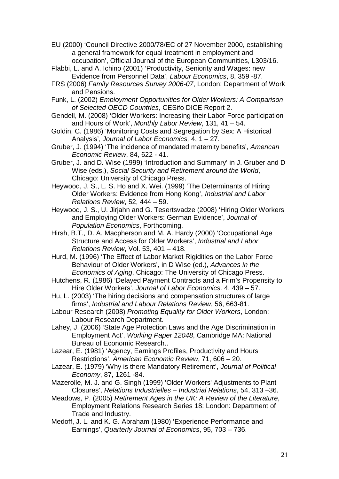- EU (2000) 'Council Directive 2000/78/EC of 27 November 2000, establishing a general framework for equal treatment in employment and occupation', Official Journal of the European Communities, L303/16.
- Flabbi, L. and A. Ichino (2001) 'Productivity, Seniority and Wages: new Evidence from Personnel Data', *Labour Economics*, 8, 359 -87.
- FRS (2006) *Family Resources Survey 2006-07*, London: Department of Work and Pensions.
- Funk, L. (2002) *Employment Opportunities for Older Workers: A Comparison of Selected OECD Countries*, CESifo DICE Report 2.
- Gendell, M. (2008) 'Older Workers: Increasing their Labor Force participation and Hours of Work', *Monthly Labor Review*, 131, 41 – 54.
- Goldin, C. (1986) 'Monitoring Costs and Segregation by Sex: A Historical Analysis', *Journal of Labor Economics,* 4, 1 – 27.
- Gruber, J. (1994) 'The incidence of mandated maternity benefits', *American Economic Review*, 84, 622 - 41.
- Gruber, J. and D. Wise (1999) 'Introduction and Summary' in J. Gruber and D Wise (eds.), *Social Security and Retirement around the World*, Chicago: University of Chicago Press.
- Heywood, J. S., L. S. Ho and X. Wei. (1999) 'The Determinants of Hiring Older Workers: Evidence from Hong Kong', *Industrial and Labor Relations Review*, 52, 444 – 59.
- Heywood, J. S., U. Jirjahn and G. Tesertsvadze (2008) 'Hiring Older Workers and Employing Older Workers: German Evidence', *Journal of Population Economics*, Forthcoming.
- Hirsh, B.T., D. A. Macpherson and M. A. Hardy (2000) 'Occupational Age Structure and Access for Older Workers', *Industrial and Labor Relations Review*, Vol. 53, 401 – 418.
- Hurd, M. (1996) 'The Effect of Labor Market Rigidities on the Labor Force Behaviour of Older Workers', in D Wise (ed.), *Advances in the Economics of Aging*, Chicago: The University of Chicago Press.
- Hutchens, R. (1986) 'Delayed Payment Contracts and a Frim's Propensity to Hire Older Workers', *Journal of Labor Economics,* 4, 439 – 57.
- Hu, L. (2003) 'The hiring decisions and compensation structures of large firms', *Industrial and Labour Relations Review*, 56, 663-81.
- Labour Research (2008) *Promoting Equality for Older Workers*, London: Labour Research Department.
- Lahey, J. (2006) 'State Age Protection Laws and the Age Discrimination in Employment Act', *Working Paper 12048*, Cambridge MA: National Bureau of Economic Research..
- Lazear, E. (1981) 'Agency, Earnings Profiles, Productivity and Hours Restrictions', *American Economic Review*, 71, 606 – 20.
- Lazear, E. (1979) 'Why is there Mandatory Retirement', *Journal of Political Economy*, 87, 1261 -84.
- Mazerolle, M. J. and G. Singh (1999) 'Older Workers' Adjustments to Plant Closures', *Relations Industrielles – Industrial Relations*, 54, 313 –36.
- Meadows, P. (2005) *Retirement Ages in the UK: A Review of the Literature*, Employment Relations Research Series 18: London: Department of Trade and Industry.
- Medoff, J. L. and K. G. Abraham (1980) 'Experience Performance and Earnings', *Quarterly Journal of Economics*, 95, 703 – 736.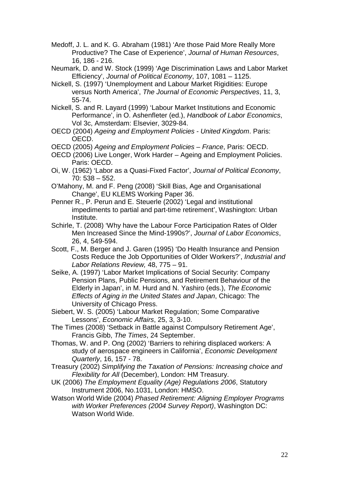- Medoff, J. L. and K. G. Abraham (1981) 'Are those Paid More Really More Productive? The Case of Experience', *Journal of Human Resources*, 16, 186 - 216.
- Neumark, D. and W. Stock (1999) 'Age Discrimination Laws and Labor Market Efficiency', *Journal of Political Economy*, 107, 1081 – 1125.
- Nickell, S. (1997) 'Unemployment and Labour Market Rigidities: Europe versus North America', *The Journal of Economic Perspectives*, 11, 3, 55-74.
- Nickell, S. and R. Layard (1999) 'Labour Market Institutions and Economic Performance', in O. Ashenfleter (ed.), *Handbook of Labor Economics*, Vol 3c, Amsterdam: Elsevier, 3029-84.
- OECD (2004) *Ageing and Employment Policies United Kingdom*. Paris: OECD.
- OECD (2005) *Ageing and Employment Policies France*, Paris: OECD.
- OECD (2006) Live Longer, Work Harder Ageing and Employment Policies. Paris: OECD.
- Oi, W. (1962) 'Labor as a Quasi-Fixed Factor', *Journal of Political Economy*, 70: 538 – 552.
- O'Mahony, M. and F. Peng (2008) 'Skill Bias, Age and Organisational Change', EU KLEMS Working Paper 36.
- Penner R., P. Perun and E. Steuerle (2002) 'Legal and institutional impediments to partial and part-time retirement', Washington: Urban Institute.
- Schirle, T. (2008) 'Why have the Labour Force Participation Rates of Older Men Increased Since the Mind-1990s?', *Journal of Labor Economics*, 26, 4, 549-594.
- Scott, F., M. Berger and J. Garen (1995) 'Do Health Insurance and Pension Costs Reduce the Job Opportunities of Older Workers?', *Industrial and Labor Relations Review,* 48, 775 – 91.
- Seike, A. (1997) 'Labor Market Implications of Social Security: Company Pension Plans, Public Pensions, and Retirement Behaviour of the Elderly in Japan', in M. Hurd and N. Yashiro (eds.), *The Economic Effects of Aging in the United States and Japan*, Chicago: The University of Chicago Press.
- Siebert, W. S. (2005) 'Labour Market Regulation; Some Comparative Lessons', *Economic Affairs*, 25, 3, 3-10.
- The Times (2008) 'Setback in Battle against Compulsory Retirement Age', Francis Gibb, *The Times*, 24 September.
- Thomas, W. and P. Ong (2002) 'Barriers to rehiring displaced workers: A study of aerospace engineers in California', *Economic Development Quarterly*, 16, 157 - 78.
- Treasury (2002) *Simplifying the Taxation of Pensions: Increasing choice and Flexibility for All* (December), London: HM Treasury.
- UK (2006) *The Employment Equality (Age) Regulations 2006*, Statutory Instrument 2006, No.1031, London: HMSO.
- Watson World Wide (2004) *Phased Retirement: Aligning Employer Programs with Worker Preferences (2004 Survey Report)*, Washington DC: Watson World Wide.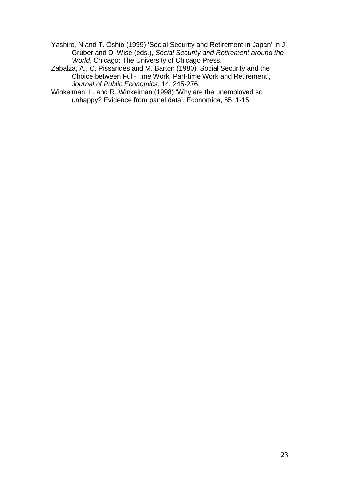Yashiro, N and T. Oshio (1999) 'Social Security and Retirement in Japan' in J. Gruber and D. Wise (eds.), *Social Security and Retirement around the World*, Chicago: The University of Chicago Press.

Zabalza, A., C. Pissarides and M. Barton (1980) 'Social Security and the Choice between Full-Time Work, Part-time Work and Retirement', *Journal of Public Economics*, 14, 245-276.

Winkelman, L. and R. Winkelman (1998) 'Why are the unemployed so unhappy? Evidence from panel data', Economica, 65, 1-15.